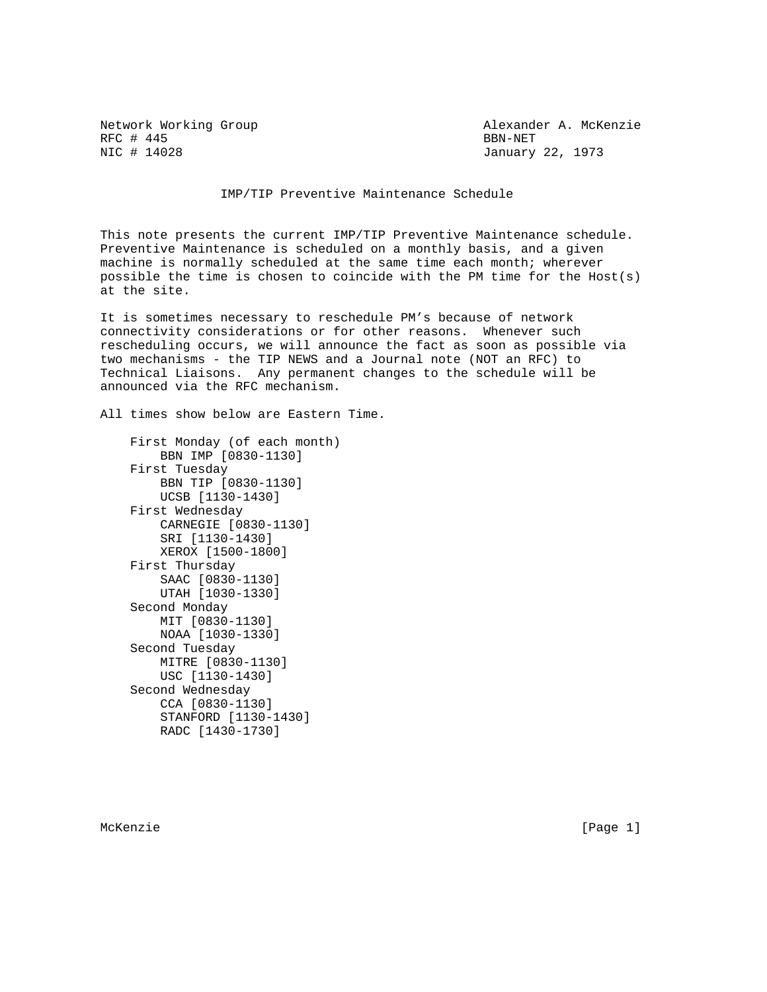RFC # 445<br>NIC # 14028 BBN-NET

Network Working Group Alexander A. McKenzie January 22, 1973

IMP/TIP Preventive Maintenance Schedule

This note presents the current IMP/TIP Preventive Maintenance schedule. Preventive Maintenance is scheduled on a monthly basis, and a given machine is normally scheduled at the same time each month; wherever possible the time is chosen to coincide with the PM time for the Host(s) at the site.

It is sometimes necessary to reschedule PM's because of network connectivity considerations or for other reasons. Whenever such rescheduling occurs, we will announce the fact as soon as possible via two mechanisms - the TIP NEWS and a Journal note (NOT an RFC) to Technical Liaisons. Any permanent changes to the schedule will be announced via the RFC mechanism.

All times show below are Eastern Time.

```
 First Monday (of each month)
    BBN IMP [0830-1130]
First Tuesday
    BBN TIP [0830-1130]
    UCSB [1130-1430]
First Wednesday
    CARNEGIE [0830-1130]
    SRI [1130-1430]
    XEROX [1500-1800]
First Thursday
    SAAC [0830-1130]
    UTAH [1030-1330]
Second Monday
    MIT [0830-1130]
    NOAA [1030-1330]
Second Tuesday
    MITRE [0830-1130]
    USC [1130-1430]
Second Wednesday
    CCA [0830-1130]
    STANFORD [1130-1430]
    RADC [1430-1730]
```